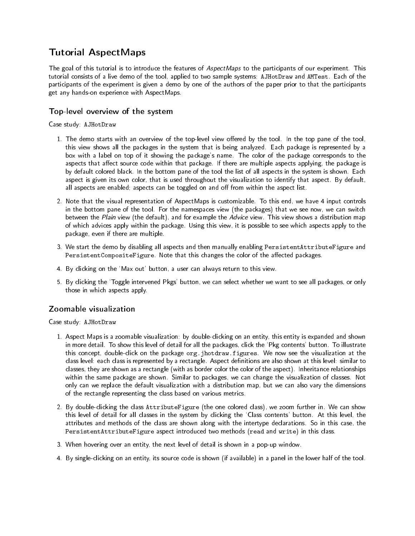# Tutorial AspectMaps

The goal of this tutorial is to introduce the features of AspectMaps to the participants of our experiment. This tutorial consists of a live demo of the tool, applied to two sample systems: AJHotDraw and AMTest. Each of the participants of the experiment is given a demo by one of the authors of the paper prior to that the participants get any hands-on experience with AspectMaps.

## Top-level overview of the system

Case study: AJHotDraw

- 1. The demo starts with an overview of the top-level view offered by the tool. In the top pane of the tool, this view shows all the packages in the system that is being analyzed. Each package is represented by a box with a label on top of it showing the package's name. The color of the package corresponds to the aspects that affect source code within that package. If there are multiple aspects applying, the package is by default colored black. In the bottom pane of the tool the list of all aspects in the system is shown. Each aspect is given its own color, that is used throughout the visualization to identify that aspect. By default, all aspects are enabled; aspects can be toggled on and off from within the aspect list.
- 2. Note that the visual representation of AspectMaps is customizable. To this end, we have 4 input controls in the bottom pane of the tool. For the namespaces view (the packages) that we see now, we can switch between the Plain view (the default), and for example the Advice view. This view shows a distribution map of which advices apply within the package. Using this view, it is possible to see which aspects apply to the package, even if there are multiple.
- 3. We start the demo by disabling all aspects and then manually enabling PersistentAttributeFigure and PersistentCompositeFigure. Note that this changes the color of the affected packages.
- 4. By clicking on the `Max out' button, a user can always return to this view.
- 5. By clicking the `Toggle intervened Pkgs' button, we can select whether we want to see all packages, or only those in which aspects apply.

# Zoomable visualization

Case study: AJHotDraw

- 1. Aspect Maps is a zoomable visualization: by double-clicking on an entity, this entity is expanded and shown in more detail. To show this level of detail for all the packages, click the `Pkg contents' button. To illustrate this concept, double-click on the package org.jhotdraw.figures. We now see the visualization at the class level: each class is represented by a rectangle. Aspect definitions are also shown at this level: similar to classes, they are shown as a rectangle (with as border color the color of the aspect). Inheritance relationships within the same package are shown. Similar to packages, we can change the visualization of classes. Not only can we replace the default visualization with a distribution map, but we can also vary the dimensions of the rectangle representing the class based on various metrics.
- 2. By double-clicking the class AttributeFigure (the one colored class), we zoom further in. We can show this level of detail for all classes in the system by clicking the `Class contents' button. At this level, the attributes and methods of the class are shown along with the intertype declarations. So in this case, the PersistentAttributeFigure aspect introduced two methods (read and write) in this class.
- 3. When hovering over an entity, the next level of detail is shown in a pop-up window.
- 4. By single-clicking on an entity, its source code is shown (if available) in a panel in the lower half of the tool.